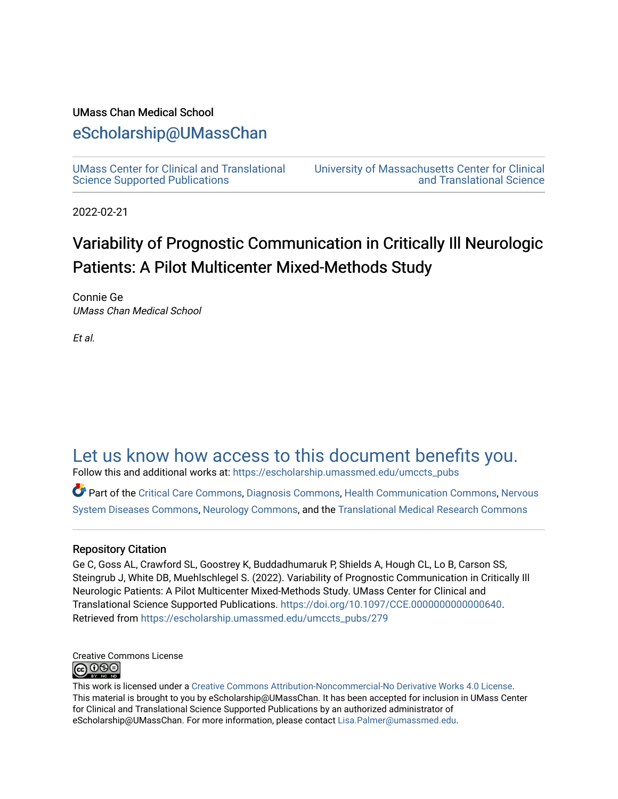#### UMass Chan Medical School

# [eScholarship@UMassChan](https://escholarship.umassmed.edu/)

[UMass Center for Clinical and Translational](https://escholarship.umassmed.edu/umccts_pubs)  [Science Supported Publications](https://escholarship.umassmed.edu/umccts_pubs)

[University of Massachusetts Center for Clinical](https://escholarship.umassmed.edu/umccts)  [and Translational Science](https://escholarship.umassmed.edu/umccts) 

2022-02-21

# Variability of Prognostic Communication in Critically Ill Neurologic Patients: A Pilot Multicenter Mixed-Methods Study

Connie Ge UMass Chan Medical School

Et al.

# [Let us know how access to this document benefits you.](https://arcsapps.umassmed.edu/redcap/surveys/?s=XWRHNF9EJE)

Follow this and additional works at: [https://escholarship.umassmed.edu/umccts\\_pubs](https://escholarship.umassmed.edu/umccts_pubs?utm_source=escholarship.umassmed.edu%2Fumccts_pubs%2F279&utm_medium=PDF&utm_campaign=PDFCoverPages)

Part of the [Critical Care Commons,](https://network.bepress.com/hgg/discipline/1226?utm_source=escholarship.umassmed.edu%2Fumccts_pubs%2F279&utm_medium=PDF&utm_campaign=PDFCoverPages) [Diagnosis Commons,](https://network.bepress.com/hgg/discipline/945?utm_source=escholarship.umassmed.edu%2Fumccts_pubs%2F279&utm_medium=PDF&utm_campaign=PDFCoverPages) [Health Communication Commons](https://network.bepress.com/hgg/discipline/330?utm_source=escholarship.umassmed.edu%2Fumccts_pubs%2F279&utm_medium=PDF&utm_campaign=PDFCoverPages), [Nervous](https://network.bepress.com/hgg/discipline/928?utm_source=escholarship.umassmed.edu%2Fumccts_pubs%2F279&utm_medium=PDF&utm_campaign=PDFCoverPages)  [System Diseases Commons,](https://network.bepress.com/hgg/discipline/928?utm_source=escholarship.umassmed.edu%2Fumccts_pubs%2F279&utm_medium=PDF&utm_campaign=PDFCoverPages) [Neurology Commons](https://network.bepress.com/hgg/discipline/692?utm_source=escholarship.umassmed.edu%2Fumccts_pubs%2F279&utm_medium=PDF&utm_campaign=PDFCoverPages), and the [Translational Medical Research Commons](https://network.bepress.com/hgg/discipline/1124?utm_source=escholarship.umassmed.edu%2Fumccts_pubs%2F279&utm_medium=PDF&utm_campaign=PDFCoverPages) 

#### Repository Citation

Ge C, Goss AL, Crawford SL, Goostrey K, Buddadhumaruk P, Shields A, Hough CL, Lo B, Carson SS, Steingrub J, White DB, Muehlschlegel S. (2022). Variability of Prognostic Communication in Critically Ill Neurologic Patients: A Pilot Multicenter Mixed-Methods Study. UMass Center for Clinical and Translational Science Supported Publications.<https://doi.org/10.1097/CCE.0000000000000640>. Retrieved from [https://escholarship.umassmed.edu/umccts\\_pubs/279](https://escholarship.umassmed.edu/umccts_pubs/279?utm_source=escholarship.umassmed.edu%2Fumccts_pubs%2F279&utm_medium=PDF&utm_campaign=PDFCoverPages) 

Creative Commons License **@000** 

This work is licensed under a [Creative Commons Attribution-Noncommercial-No Derivative Works 4.0 License.](http://creativecommons.org/licenses/by-nc-nd/4.0/) This material is brought to you by eScholarship@UMassChan. It has been accepted for inclusion in UMass Center for Clinical and Translational Science Supported Publications by an authorized administrator of eScholarship@UMassChan. For more information, please contact [Lisa.Palmer@umassmed.edu](mailto:Lisa.Palmer@umassmed.edu).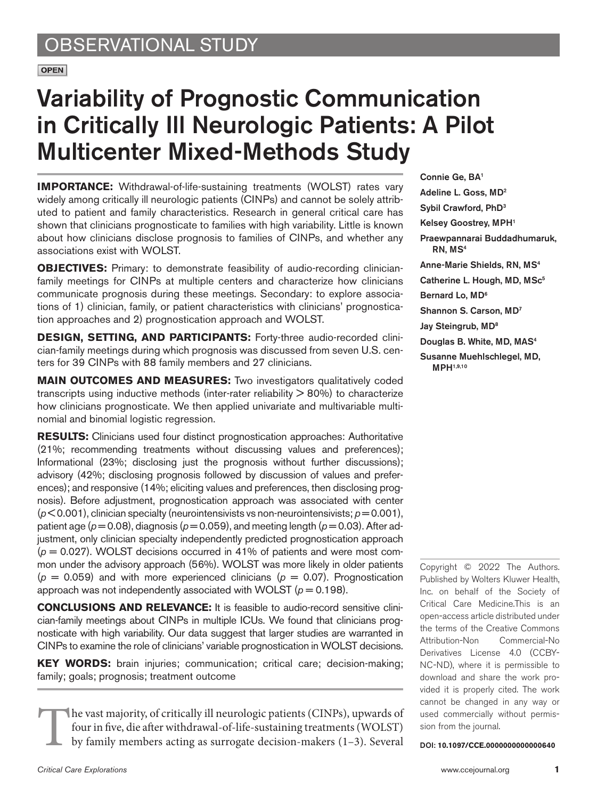**OPEN** 

# Variability of Prognostic Communication in Critically Ill Neurologic Patients: A Pilot Multicenter Mixed-Methods Study

**IMPORTANCE:** Withdrawal-of-life-sustaining treatments (WOLST) rates vary widely among critically ill neurologic patients (CINPs) and cannot be solely attributed to patient and family characteristics. Research in general critical care has shown that clinicians prognosticate to families with high variability. Little is known about how clinicians disclose prognosis to families of CINPs, and whether any associations exist with WOLST.

**OBJECTIVES:** Primary: to demonstrate feasibility of audio-recording clinicianfamily meetings for CINPs at multiple centers and characterize how clinicians communicate prognosis during these meetings. Secondary: to explore associations of 1) clinician, family, or patient characteristics with clinicians' prognostication approaches and 2) prognostication approach and WOLST.

**DESIGN, SETTING, AND PARTICIPANTS:** Forty-three audio-recorded clinician-family meetings during which prognosis was discussed from seven U.S. centers for 39 CINPs with 88 family members and 27 clinicians.

**MAIN OUTCOMES AND MEASURES:** Two investigators qualitatively coded transcripts using inductive methods (inter-rater reliability > 80%) to characterize how clinicians prognosticate. We then applied univariate and multivariable multinomial and binomial logistic regression.

**RESULTS:** Clinicians used four distinct prognostication approaches: Authoritative (21%; recommending treatments without discussing values and preferences); Informational (23%; disclosing just the prognosis without further discussions); advisory (42%; disclosing prognosis followed by discussion of values and preferences); and responsive (14%; eliciting values and preferences, then disclosing prognosis). Before adjustment, prognostication approach was associated with center  $(p< 0.001)$ , clinician specialty (neurointensivists vs non-neurointensivists;  $p = 0.001$ ), patient age ( $p = 0.08$ ), diagnosis ( $p = 0.059$ ), and meeting length ( $p = 0.03$ ). After adjustment, only clinician specialty independently predicted prognostication approach  $(p = 0.027)$ . WOLST decisions occurred in 41% of patients and were most common under the advisory approach (56%). WOLST was more likely in older patients  $(p = 0.059)$  and with more experienced clinicians  $(p = 0.07)$ . Prognostication approach was not independently associated with WOLST  $(p = 0.198)$ .

**CONCLUSIONS AND RELEVANCE:** It is feasible to audio-record sensitive clinician-family meetings about CINPs in multiple ICUs. We found that clinicians prognosticate with high variability. Our data suggest that larger studies are warranted in CINPs to examine the role of clinicians' variable prognostication in WOLST decisions.

**KEY WORDS:** brain injuries; communication; critical care; decision-making; family; goals; prognosis; treatment outcome

The vast majority, of critically ill neurologic patients (CINPs), upwards of four in five, die after withdrawal-of-life-sustaining treatments (WOLST) by family members acting as surrogate decision-makers (1–3). Several Connie Ge, BA1 Adeline L. Goss, MD2 Sybil Crawford, PhD3 Kelsey Goostrey, MPH1 Praewpannarai Buddadhumaruk, RN, MS4 Anne-Marie Shields, RN, MS4 Catherine L. Hough, MD, MSc<sup>5</sup> Bernard Lo, MD<sup>6</sup> Shannon S. Carson, MD7 Jay Steingrub, MD<sup>8</sup> Douglas B. White, MD, MAS4 Susanne Muehlschlegel, MD, MPH1,9,10

Copyright © 2022 The Authors. Published by Wolters Kluwer Health, Inc. on behalf of the Society of Critical Care Medicine.This is an open-access article distributed under the terms of the [Creative Commons](http://creativecommons.org/licenses/by-nc-nd/4.0/) [Attribution-Non Commercial-No](http://creativecommons.org/licenses/by-nc-nd/4.0/) [Derivatives License 4.0 \(CCBY-](http://creativecommons.org/licenses/by-nc-nd/4.0/)[NC-ND\),](http://creativecommons.org/licenses/by-nc-nd/4.0/) where it is permissible to download and share the work provided it is properly cited. The work cannot be changed in any way or used commercially without permission from the journal.

DOI: **10.1097/CCE.0000000000000640**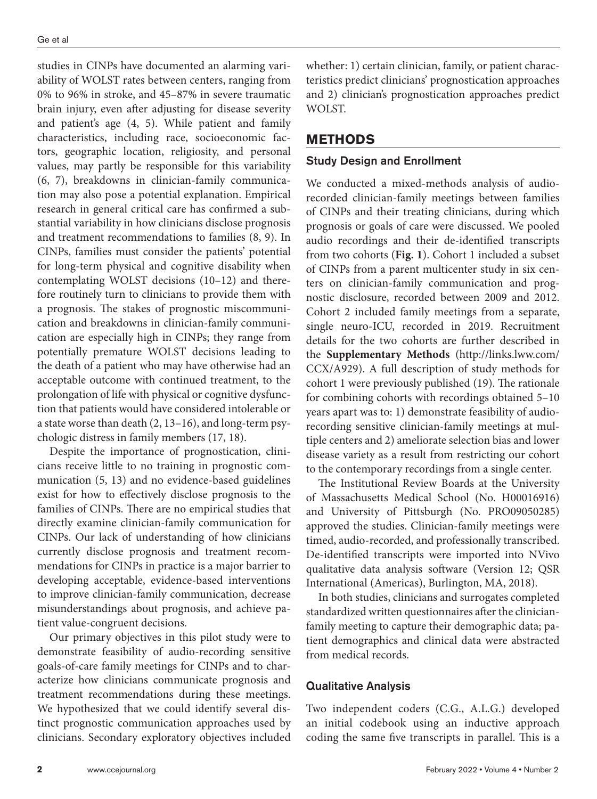studies in CINPs have documented an alarming variability of WOLST rates between centers, ranging from 0% to 96% in stroke, and 45–87% in severe traumatic brain injury, even after adjusting for disease severity and patient's age (4, 5). While patient and family characteristics, including race, socioeconomic factors, geographic location, religiosity, and personal values, may partly be responsible for this variability (6, 7), breakdowns in clinician-family communication may also pose a potential explanation. Empirical research in general critical care has confirmed a substantial variability in how clinicians disclose prognosis and treatment recommendations to families (8, 9). In CINPs, families must consider the patients' potential for long-term physical and cognitive disability when contemplating WOLST decisions (10–12) and therefore routinely turn to clinicians to provide them with a prognosis. The stakes of prognostic miscommunication and breakdowns in clinician-family communication are especially high in CINPs; they range from potentially premature WOLST decisions leading to the death of a patient who may have otherwise had an acceptable outcome with continued treatment, to the prolongation of life with physical or cognitive dysfunction that patients would have considered intolerable or a state worse than death (2, 13–16), and long-term psychologic distress in family members (17, 18).

Despite the importance of prognostication, clinicians receive little to no training in prognostic communication (5, 13) and no evidence-based guidelines exist for how to effectively disclose prognosis to the families of CINPs. There are no empirical studies that directly examine clinician-family communication for CINPs. Our lack of understanding of how clinicians currently disclose prognosis and treatment recommendations for CINPs in practice is a major barrier to developing acceptable, evidence-based interventions to improve clinician-family communication, decrease misunderstandings about prognosis, and achieve patient value-congruent decisions.

Our primary objectives in this pilot study were to demonstrate feasibility of audio-recording sensitive goals-of-care family meetings for CINPs and to characterize how clinicians communicate prognosis and treatment recommendations during these meetings. We hypothesized that we could identify several distinct prognostic communication approaches used by clinicians. Secondary exploratory objectives included

whether: 1) certain clinician, family, or patient characteristics predict clinicians' prognostication approaches and 2) clinician's prognostication approaches predict WOLST.

# **METHODS**

#### Study Design and Enrollment

We conducted a mixed-methods analysis of audiorecorded clinician-family meetings between families of CINPs and their treating clinicians, during which prognosis or goals of care were discussed. We pooled audio recordings and their de-identified transcripts from two cohorts (**Fig. 1**). Cohort 1 included a subset of CINPs from a parent multicenter study in six centers on clinician-family communication and prognostic disclosure, recorded between 2009 and 2012. Cohort 2 included family meetings from a separate, single neuro-ICU, recorded in 2019. Recruitment details for the two cohorts are further described in the **Supplementary Methods** [\(http://links.lww.com/](http://links.lww.com/CCX/A929) [CCX/A929](http://links.lww.com/CCX/A929)). A full description of study methods for cohort 1 were previously published (19). The rationale for combining cohorts with recordings obtained 5–10 years apart was to: 1) demonstrate feasibility of audiorecording sensitive clinician-family meetings at multiple centers and 2) ameliorate selection bias and lower disease variety as a result from restricting our cohort to the contemporary recordings from a single center.

The Institutional Review Boards at the University of Massachusetts Medical School (No. H00016916) and University of Pittsburgh (No. PRO09050285) approved the studies. Clinician-family meetings were timed, audio-recorded, and professionally transcribed. De-identified transcripts were imported into NVivo qualitative data analysis software (Version 12; QSR International (Americas), Burlington, MA, 2018).

In both studies, clinicians and surrogates completed standardized written questionnaires after the clinicianfamily meeting to capture their demographic data; patient demographics and clinical data were abstracted from medical records.

#### Qualitative Analysis

Two independent coders (C.G., A.L.G.) developed an initial codebook using an inductive approach coding the same five transcripts in parallel. This is a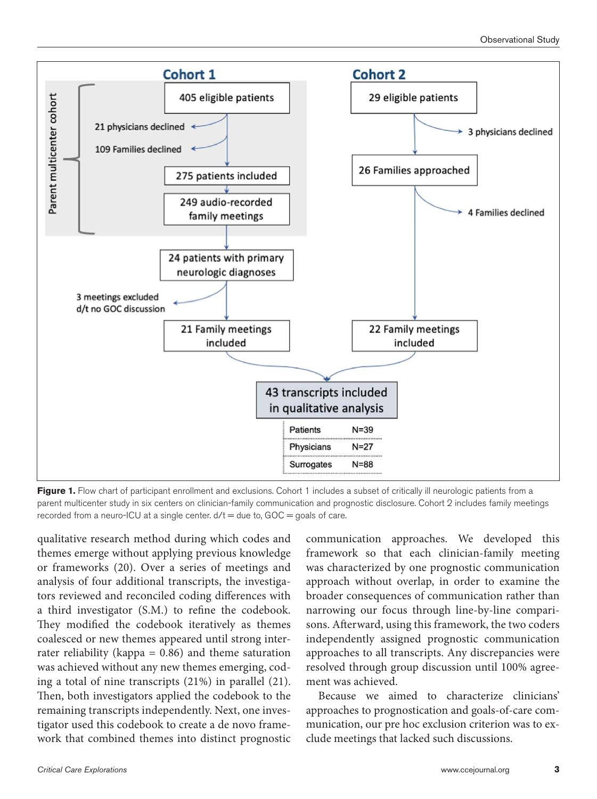

Figure 1. Flow chart of participant enrollment and exclusions. Cohort 1 includes a subset of critically ill neurologic patients from a parent multicenter study in six centers on clinician-family communication and prognostic disclosure. Cohort 2 includes family meetings recorded from a neuro-ICU at a single center.  $d/t =$  due to,  $GOC =$  goals of care.

qualitative research method during which codes and themes emerge without applying previous knowledge or frameworks (20). Over a series of meetings and analysis of four additional transcripts, the investigators reviewed and reconciled coding differences with a third investigator (S.M.) to refine the codebook. They modified the codebook iteratively as themes coalesced or new themes appeared until strong interrater reliability (kappa  $= 0.86$ ) and theme saturation was achieved without any new themes emerging, coding a total of nine transcripts (21%) in parallel (21). Then, both investigators applied the codebook to the remaining transcripts independently. Next, one investigator used this codebook to create a de novo framework that combined themes into distinct prognostic communication approaches. We developed this framework so that each clinician-family meeting was characterized by one prognostic communication approach without overlap, in order to examine the broader consequences of communication rather than narrowing our focus through line-by-line comparisons. Afterward, using this framework, the two coders independently assigned prognostic communication approaches to all transcripts. Any discrepancies were resolved through group discussion until 100% agreement was achieved.

Because we aimed to characterize clinicians' approaches to prognostication and goals-of-care communication, our pre hoc exclusion criterion was to exclude meetings that lacked such discussions.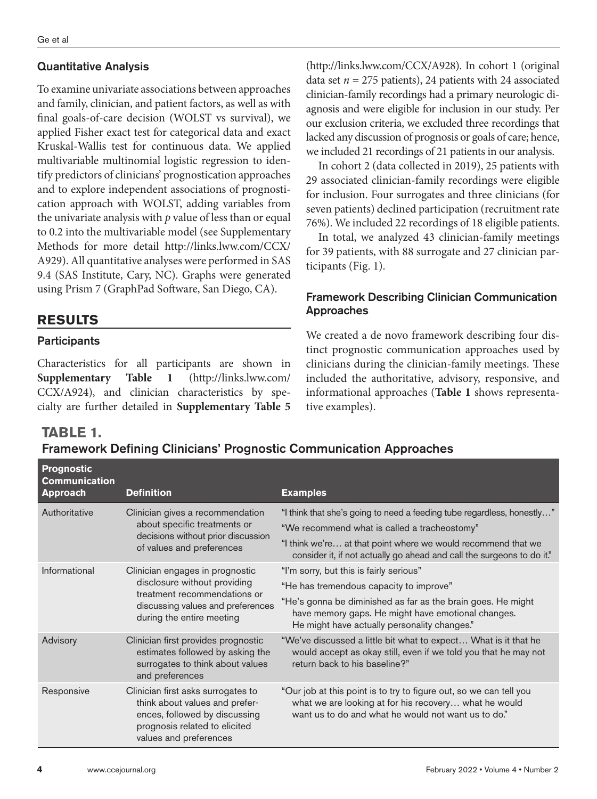#### Quantitative Analysis

To examine univariate associations between approaches and family, clinician, and patient factors, as well as with final goals-of-care decision (WOLST vs survival), we applied Fisher exact test for categorical data and exact Kruskal-Wallis test for continuous data. We applied multivariable multinomial logistic regression to identify predictors of clinicians' prognostication approaches and to explore independent associations of prognostication approach with WOLST, adding variables from the univariate analysis with *p* value of less than or equal to 0.2 into the multivariable model (see Supplementary Methods for more detail [http://links.lww.com/CCX/](http://links.lww.com/CCX/A929) [A929\)](http://links.lww.com/CCX/A929). All quantitative analyses were performed in SAS 9.4 (SAS Institute, Cary, NC). Graphs were generated using Prism 7 (GraphPad Software, San Diego, CA).

## **RESULTS**

#### **Participants**

Characteristics for all participants are shown in **Supplementary Table 1** [\(http://links.lww.com/](http://links.lww.com/CCX/A924) [CCX/A924\)](http://links.lww.com/CCX/A924), and clinician characteristics by specialty are further detailed in **Supplementary Table 5** (http://links.lww.com/CCX/A928). In cohort 1 (original data set  $n = 275$  patients), 24 patients with 24 associated clinician-family recordings had a primary neurologic diagnosis and were eligible for inclusion in our study. Per our exclusion criteria, we excluded three recordings that lacked any discussion of prognosis or goals of care; hence, we included 21 recordings of 21 patients in our analysis.

In cohort 2 (data collected in 2019), 25 patients with 29 associated clinician-family recordings were eligible for inclusion. Four surrogates and three clinicians (for seven patients) declined participation (recruitment rate 76%). We included 22 recordings of 18 eligible patients.

In total, we analyzed 43 clinician-family meetings for 39 patients, with 88 surrogate and 27 clinician participants (Fig. 1).

#### Framework Describing Clinician Communication Approaches

We created a de novo framework describing four distinct prognostic communication approaches used by clinicians during the clinician-family meetings. These included the authoritative, advisory, responsive, and informational approaches (**Table 1** shows representative examples).

## **TABLE 1.**

# Framework Defining Clinicians' Prognostic Communication Approaches

| <b>Prognostic</b><br><b>Communication</b><br><b>Approach</b> | <b>Definition</b>                                                                                                                                                 | <b>Examples</b>                                                                                                                                                                                                                                                   |
|--------------------------------------------------------------|-------------------------------------------------------------------------------------------------------------------------------------------------------------------|-------------------------------------------------------------------------------------------------------------------------------------------------------------------------------------------------------------------------------------------------------------------|
| Authoritative                                                | Clinician gives a recommendation<br>about specific treatments or<br>decisions without prior discussion<br>of values and preferences                               | "I think that she's going to need a feeding tube regardless, honestly"<br>"We recommend what is called a tracheostomy"<br>"I think we're at that point where we would recommend that we<br>consider it, if not actually go ahead and call the surgeons to do it." |
| Informational                                                | Clinician engages in prognostic<br>disclosure without providing<br>treatment recommendations or<br>discussing values and preferences<br>during the entire meeting | "I'm sorry, but this is fairly serious"<br>"He has tremendous capacity to improve"<br>"He's gonna be diminished as far as the brain goes. He might<br>have memory gaps. He might have emotional changes.<br>He might have actually personality changes."          |
| Advisory                                                     | Clinician first provides prognostic<br>estimates followed by asking the<br>surrogates to think about values<br>and preferences                                    | "We've discussed a little bit what to expect What is it that he<br>would accept as okay still, even if we told you that he may not<br>return back to his baseline?"                                                                                               |
| Responsive                                                   | Clinician first asks surrogates to<br>think about values and prefer-<br>ences, followed by discussing<br>prognosis related to elicited<br>values and preferences  | "Our job at this point is to try to figure out, so we can tell you<br>what we are looking at for his recovery what he would<br>want us to do and what he would not want us to do."                                                                                |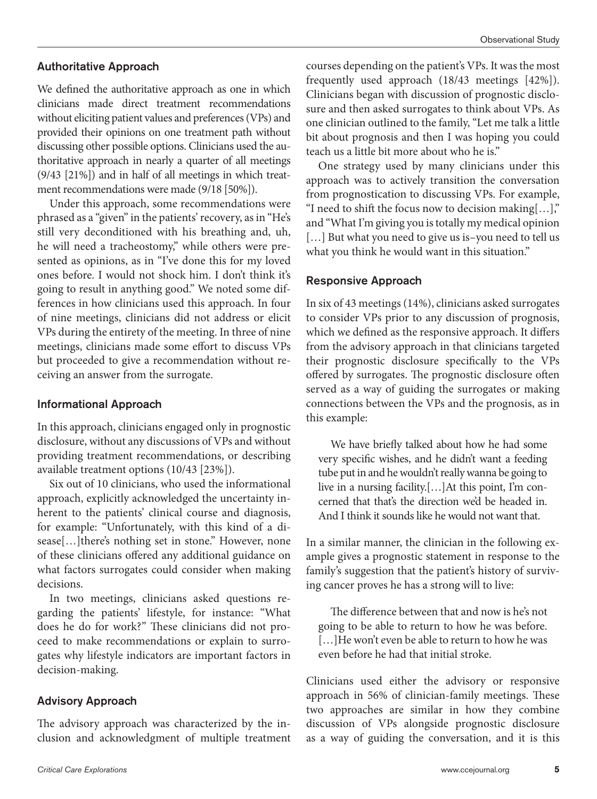#### Authoritative Approach

We defined the authoritative approach as one in which clinicians made direct treatment recommendations without eliciting patient values and preferences (VPs) and provided their opinions on one treatment path without discussing other possible options. Clinicians used the authoritative approach in nearly a quarter of all meetings (9/43 [21%]) and in half of all meetings in which treatment recommendations were made (9/18 [50%]).

Under this approach, some recommendations were phrased as a "given" in the patients' recovery, as in "He's still very deconditioned with his breathing and, uh, he will need a tracheostomy," while others were presented as opinions, as in "I've done this for my loved ones before. I would not shock him. I don't think it's going to result in anything good." We noted some differences in how clinicians used this approach. In four of nine meetings, clinicians did not address or elicit VPs during the entirety of the meeting. In three of nine meetings, clinicians made some effort to discuss VPs but proceeded to give a recommendation without receiving an answer from the surrogate.

#### Informational Approach

In this approach, clinicians engaged only in prognostic disclosure, without any discussions of VPs and without providing treatment recommendations, or describing available treatment options (10/43 [23%]).

Six out of 10 clinicians, who used the informational approach, explicitly acknowledged the uncertainty inherent to the patients' clinical course and diagnosis, for example: "Unfortunately, with this kind of a disease[…]there's nothing set in stone." However, none of these clinicians offered any additional guidance on what factors surrogates could consider when making decisions.

In two meetings, clinicians asked questions regarding the patients' lifestyle, for instance: "What does he do for work?" These clinicians did not proceed to make recommendations or explain to surrogates why lifestyle indicators are important factors in decision-making.

#### Advisory Approach

The advisory approach was characterized by the inclusion and acknowledgment of multiple treatment courses depending on the patient's VPs. It was the most frequently used approach (18/43 meetings [42%]). Clinicians began with discussion of prognostic disclosure and then asked surrogates to think about VPs. As one clinician outlined to the family, "Let me talk a little bit about prognosis and then I was hoping you could teach us a little bit more about who he is."

One strategy used by many clinicians under this approach was to actively transition the conversation from prognostication to discussing VPs. For example, "I need to shift the focus now to decision making[…]," and "What I'm giving you is totally my medical opinion [...] But what you need to give us is-you need to tell us what you think he would want in this situation."

#### Responsive Approach

In six of 43 meetings (14%), clinicians asked surrogates to consider VPs prior to any discussion of prognosis, which we defined as the responsive approach. It differs from the advisory approach in that clinicians targeted their prognostic disclosure specifically to the VPs offered by surrogates. The prognostic disclosure often served as a way of guiding the surrogates or making connections between the VPs and the prognosis, as in this example:

We have briefly talked about how he had some very specific wishes, and he didn't want a feeding tube put in and he wouldn't really wanna be going to live in a nursing facility.[…]At this point, I'm concerned that that's the direction we'd be headed in. And I think it sounds like he would not want that.

In a similar manner, the clinician in the following example gives a prognostic statement in response to the family's suggestion that the patient's history of surviving cancer proves he has a strong will to live:

The difference between that and now is he's not going to be able to return to how he was before. [...] He won't even be able to return to how he was even before he had that initial stroke.

Clinicians used either the advisory or responsive approach in 56% of clinician-family meetings. These two approaches are similar in how they combine discussion of VPs alongside prognostic disclosure as a way of guiding the conversation, and it is this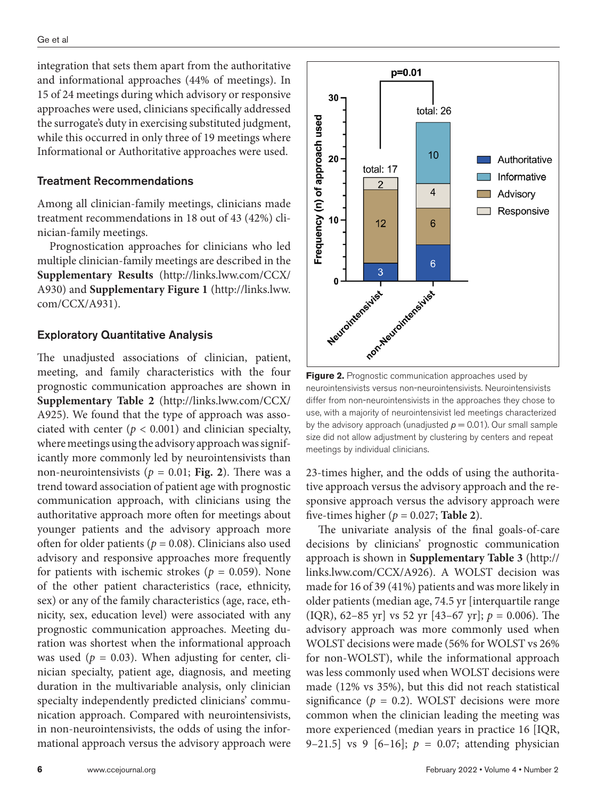integration that sets them apart from the authoritative and informational approaches (44% of meetings). In 15 of 24 meetings during which advisory or responsive approaches were used, clinicians specifically addressed the surrogate's duty in exercising substituted judgment, while this occurred in only three of 19 meetings where Informational or Authoritative approaches were used.

#### Treatment Recommendations

Among all clinician-family meetings, clinicians made treatment recommendations in 18 out of 43 (42%) clinician-family meetings.

Prognostication approaches for clinicians who led multiple clinician-family meetings are described in the **Supplementary Results** [\(http://links.lww.com/CCX/](http://links.lww.com/CCX/A930) [A930](http://links.lww.com/CCX/A930)) and **Supplementary Figure 1** ([http://links.lww.](http://links.lww.com/CCX/A931) [com/CCX/A931\)](http://links.lww.com/CCX/A931).

#### Exploratory Quantitative Analysis

The unadjusted associations of clinician, patient, meeting, and family characteristics with the four prognostic communication approaches are shown in **Supplementary Table 2** [\(http://links.lww.com/CCX/](http://links.lww.com/CCX/A925) [A925](http://links.lww.com/CCX/A925)). We found that the type of approach was associated with center  $(p < 0.001)$  and clinician specialty, where meetings using the advisory approach was significantly more commonly led by neurointensivists than non-neurointensivists ( $p = 0.01$ ; Fig. 2). There was a trend toward association of patient age with prognostic communication approach, with clinicians using the authoritative approach more often for meetings about younger patients and the advisory approach more often for older patients ( $p = 0.08$ ). Clinicians also used advisory and responsive approaches more frequently for patients with ischemic strokes ( $p = 0.059$ ). None of the other patient characteristics (race, ethnicity, sex) or any of the family characteristics (age, race, ethnicity, sex, education level) were associated with any prognostic communication approaches. Meeting duration was shortest when the informational approach was used ( $p = 0.03$ ). When adjusting for center, clinician specialty, patient age, diagnosis, and meeting duration in the multivariable analysis, only clinician specialty independently predicted clinicians' communication approach. Compared with neurointensivists, in non-neurointensivists, the odds of using the informational approach versus the advisory approach were



**Figure 2.** Prognostic communication approaches used by neurointensivists versus non-neurointensivists. Neurointensivists differ from non-neurointensivists in the approaches they chose to use, with a majority of neurointensivist led meetings characterized by the advisory approach (unadjusted  $p = 0.01$ ). Our small sample size did not allow adjustment by clustering by centers and repeat meetings by individual clinicians.

23-times higher, and the odds of using the authoritative approach versus the advisory approach and the responsive approach versus the advisory approach were five-times higher ( $p = 0.027$ ; **Table 2**).

The univariate analysis of the final goals-of-care decisions by clinicians' prognostic communication approach is shown in **Supplementary Table 3** ([http://](http://links.lww.com/CCX/A926) [links.lww.com/CCX/A926](http://links.lww.com/CCX/A926)). A WOLST decision was made for 16 of 39 (41%) patients and was more likely in older patients (median age, 74.5 yr [interquartile range (IQR), 62–85 yr] vs 52 yr [43–67 yr]; *p* = 0.006). The advisory approach was more commonly used when WOLST decisions were made (56% for WOLST vs 26% for non-WOLST), while the informational approach was less commonly used when WOLST decisions were made (12% vs 35%), but this did not reach statistical significance ( $p = 0.2$ ). WOLST decisions were more common when the clinician leading the meeting was more experienced (median years in practice 16 [IQR, 9–21.5] vs 9  $[6–16]$ ;  $p = 0.07$ ; attending physician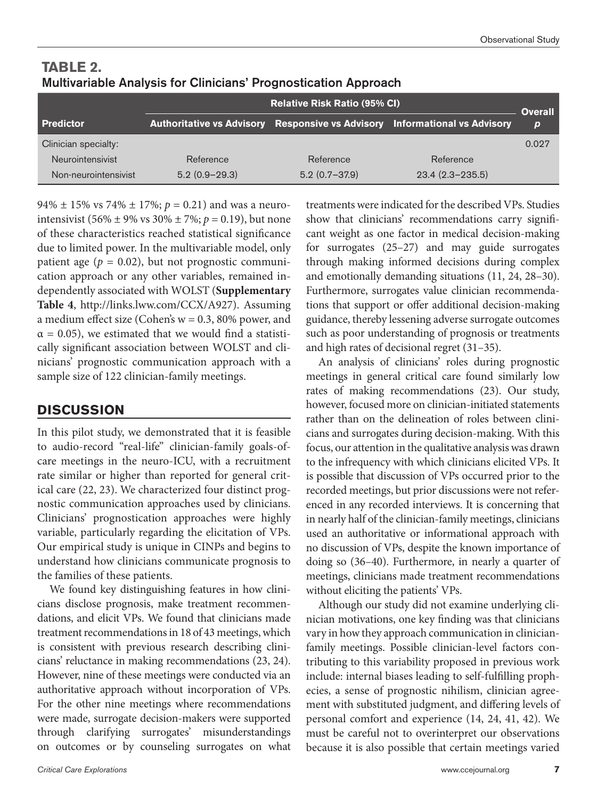|                      | <b>Relative Risk Ratio (95% CI)</b> |                   |                                                                            | <b>Overall</b>   |
|----------------------|-------------------------------------|-------------------|----------------------------------------------------------------------------|------------------|
| <b>Predictor</b>     |                                     |                   | Authoritative vs Advisory Responsive vs Advisory Informational vs Advisory | $\boldsymbol{p}$ |
| Clinician specialty: |                                     |                   |                                                                            | 0.027            |
| Neurointensivist     | Reference                           | Reference         | Reference                                                                  |                  |
| Non-neurointensivist | $5.2(0.9-29.3)$                     | $5.2(0.7 - 37.9)$ | $23.4(2.3-235.5)$                                                          |                  |

**TABLE 2.**  Multivariable Analysis for Clinicians' Prognostication Approach

94%  $\pm$  15% vs 74%  $\pm$  17%;  $p = 0.21$ ) and was a neurointensivist (56%  $\pm$  9% vs 30%  $\pm$  7%;  $p = 0.19$ ), but none of these characteristics reached statistical significance due to limited power. In the multivariable model, only patient age  $(p = 0.02)$ , but not prognostic communication approach or any other variables, remained independently associated with WOLST (**Supplementary Table 4**, <http://links.lww.com/CCX/A927>). Assuming a medium effect size (Cohen's  $w = 0.3$ , 80% power, and  $\alpha = 0.05$ ), we estimated that we would find a statistically significant association between WOLST and clinicians' prognostic communication approach with a sample size of 122 clinician-family meetings.

# **DISCUSSION**

In this pilot study, we demonstrated that it is feasible to audio-record "real-life" clinician-family goals-ofcare meetings in the neuro-ICU, with a recruitment rate similar or higher than reported for general critical care (22, 23). We characterized four distinct prognostic communication approaches used by clinicians. Clinicians' prognostication approaches were highly variable, particularly regarding the elicitation of VPs. Our empirical study is unique in CINPs and begins to understand how clinicians communicate prognosis to the families of these patients.

We found key distinguishing features in how clinicians disclose prognosis, make treatment recommendations, and elicit VPs. We found that clinicians made treatment recommendations in 18 of 43 meetings, which is consistent with previous research describing clinicians' reluctance in making recommendations (23, 24). However, nine of these meetings were conducted via an authoritative approach without incorporation of VPs. For the other nine meetings where recommendations were made, surrogate decision-makers were supported through clarifying surrogates' misunderstandings on outcomes or by counseling surrogates on what

treatments were indicated for the described VPs. Studies show that clinicians' recommendations carry significant weight as one factor in medical decision-making for surrogates (25–27) and may guide surrogates through making informed decisions during complex and emotionally demanding situations (11, 24, 28–30). Furthermore, surrogates value clinician recommendations that support or offer additional decision-making guidance, thereby lessening adverse surrogate outcomes such as poor understanding of prognosis or treatments and high rates of decisional regret (31–35).

An analysis of clinicians' roles during prognostic meetings in general critical care found similarly low rates of making recommendations (23). Our study, however, focused more on clinician-initiated statements rather than on the delineation of roles between clinicians and surrogates during decision-making. With this focus, our attention in the qualitative analysis was drawn to the infrequency with which clinicians elicited VPs. It is possible that discussion of VPs occurred prior to the recorded meetings, but prior discussions were not referenced in any recorded interviews. It is concerning that in nearly half of the clinician-family meetings, clinicians used an authoritative or informational approach with no discussion of VPs, despite the known importance of doing so (36–40). Furthermore, in nearly a quarter of meetings, clinicians made treatment recommendations without eliciting the patients' VPs.

Although our study did not examine underlying clinician motivations, one key finding was that clinicians vary in how they approach communication in clinicianfamily meetings. Possible clinician-level factors contributing to this variability proposed in previous work include: internal biases leading to self-fulfilling prophecies, a sense of prognostic nihilism, clinician agreement with substituted judgment, and differing levels of personal comfort and experience (14, 24, 41, 42). We must be careful not to overinterpret our observations because it is also possible that certain meetings varied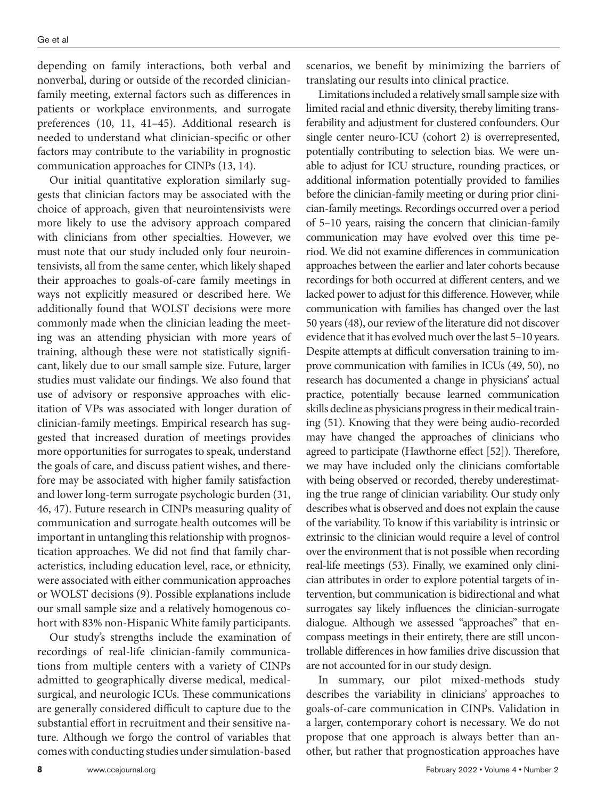depending on family interactions, both verbal and nonverbal, during or outside of the recorded clinicianfamily meeting, external factors such as differences in patients or workplace environments, and surrogate preferences (10, 11, 41–45). Additional research is needed to understand what clinician-specific or other factors may contribute to the variability in prognostic communication approaches for CINPs (13, 14).

Our initial quantitative exploration similarly suggests that clinician factors may be associated with the choice of approach, given that neurointensivists were more likely to use the advisory approach compared with clinicians from other specialties. However, we must note that our study included only four neurointensivists, all from the same center, which likely shaped their approaches to goals-of-care family meetings in ways not explicitly measured or described here. We additionally found that WOLST decisions were more commonly made when the clinician leading the meeting was an attending physician with more years of training, although these were not statistically significant, likely due to our small sample size. Future, larger studies must validate our findings. We also found that use of advisory or responsive approaches with elicitation of VPs was associated with longer duration of clinician-family meetings. Empirical research has suggested that increased duration of meetings provides more opportunities for surrogates to speak, understand the goals of care, and discuss patient wishes, and therefore may be associated with higher family satisfaction and lower long-term surrogate psychologic burden (31, 46, 47). Future research in CINPs measuring quality of communication and surrogate health outcomes will be important in untangling this relationship with prognostication approaches. We did not find that family characteristics, including education level, race, or ethnicity, were associated with either communication approaches or WOLST decisions (9). Possible explanations include our small sample size and a relatively homogenous cohort with 83% non-Hispanic White family participants.

Our study's strengths include the examination of recordings of real-life clinician-family communications from multiple centers with a variety of CINPs admitted to geographically diverse medical, medicalsurgical, and neurologic ICUs. These communications are generally considered difficult to capture due to the substantial effort in recruitment and their sensitive nature. Although we forgo the control of variables that comes with conducting studies under simulation-based

scenarios, we benefit by minimizing the barriers of translating our results into clinical practice.

Limitations included a relatively small sample size with limited racial and ethnic diversity, thereby limiting transferability and adjustment for clustered confounders. Our single center neuro-ICU (cohort 2) is overrepresented, potentially contributing to selection bias. We were unable to adjust for ICU structure, rounding practices, or additional information potentially provided to families before the clinician-family meeting or during prior clinician-family meetings. Recordings occurred over a period of 5–10 years, raising the concern that clinician-family communication may have evolved over this time period. We did not examine differences in communication approaches between the earlier and later cohorts because recordings for both occurred at different centers, and we lacked power to adjust for this difference. However, while communication with families has changed over the last 50 years (48), our review of the literature did not discover evidence that it has evolved much over the last 5–10 years. Despite attempts at difficult conversation training to improve communication with families in ICUs (49, 50), no research has documented a change in physicians' actual practice, potentially because learned communication skills decline as physicians progress in their medical training (51). Knowing that they were being audio-recorded may have changed the approaches of clinicians who agreed to participate (Hawthorne effect [52]). Therefore, we may have included only the clinicians comfortable with being observed or recorded, thereby underestimating the true range of clinician variability. Our study only describes what is observed and does not explain the cause of the variability. To know if this variability is intrinsic or extrinsic to the clinician would require a level of control over the environment that is not possible when recording real-life meetings (53). Finally, we examined only clinician attributes in order to explore potential targets of intervention, but communication is bidirectional and what surrogates say likely influences the clinician-surrogate dialogue. Although we assessed "approaches" that encompass meetings in their entirety, there are still uncontrollable differences in how families drive discussion that are not accounted for in our study design.

In summary, our pilot mixed-methods study describes the variability in clinicians' approaches to goals-of-care communication in CINPs. Validation in a larger, contemporary cohort is necessary. We do not propose that one approach is always better than another, but rather that prognostication approaches have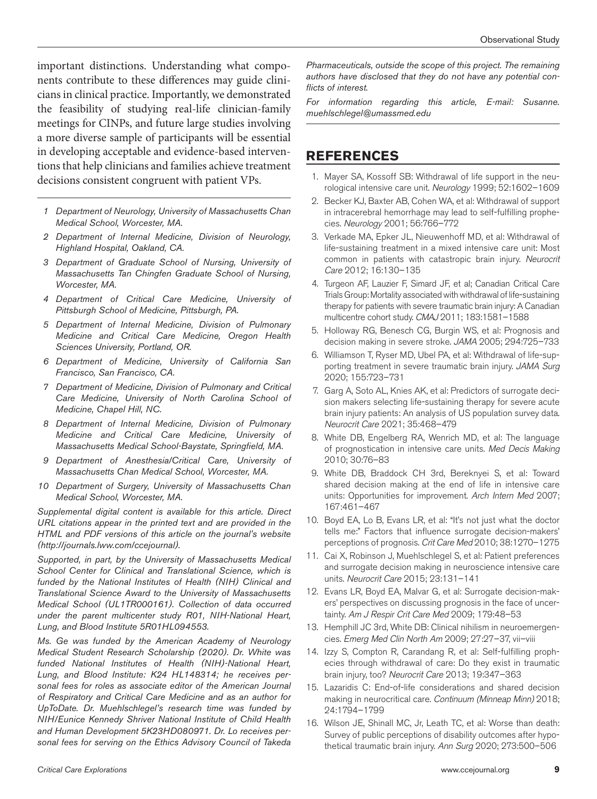important distinctions. Understanding what components contribute to these differences may guide clinicians in clinical practice. Importantly, we demonstrated the feasibility of studying real-life clinician-family meetings for CINPs, and future large studies involving a more diverse sample of participants will be essential in developing acceptable and evidence-based interventions that help clinicians and families achieve treatment decisions consistent congruent with patient VPs.

- *1 Department of Neurology, University of Massachusetts Chan Medical School, Worcester, MA.*
- *2 Department of Internal Medicine, Division of Neurology, Highland Hospital, Oakland, CA.*
- *3 Department of Graduate School of Nursing, University of Massachusetts Tan Chingfen Graduate School of Nursing, Worcester, MA.*
- *4 Department of Critical Care Medicine, University of Pittsburgh School of Medicine, Pittsburgh, PA.*
- *5 Department of Internal Medicine, Division of Pulmonary Medicine and Critical Care Medicine, Oregon Health Sciences University, Portland, OR.*
- *6 Department of Medicine, University of California San Francisco, San Francisco, CA.*
- *7 Department of Medicine, Division of Pulmonary and Critical Care Medicine, University of North Carolina School of Medicine, Chapel Hill, NC.*
- *8 Department of Internal Medicine, Division of Pulmonary Medicine and Critical Care Medicine, University of Massachusetts Medical School-Baystate, Springfield, MA.*
- *9 Department of Anesthesia/Critical Care, University of Massachusetts Chan Medical School, Worcester, MA.*
- *10 Department of Surgery, University of Massachusetts Chan Medical School, Worcester, MA.*

*Supplemental digital content is available for this article. Direct URL citations appear in the printed text and are provided in the HTML and PDF versions of this article on the journal's website (<http://journals.lww.com/ccejournal>).*

*Supported, in part, by the University of Massachusetts Medical School Center for Clinical and Translational Science, which is funded by the National Institutes of Health (NIH) Clinical and Translational Science Award to the University of Massachusetts Medical School (UL1TR000161). Collection of data occurred under the parent multicenter study R01, NIH-National Heart, Lung, and Blood Institute 5R01HL094553.*

*Ms. Ge was funded by the American Academy of Neurology Medical Student Research Scholarship (2020). Dr. White was funded National Institutes of Health (NIH)-National Heart, Lung, and Blood Institute: K24 HL148314; he receives personal fees for roles as associate editor of the American Journal of Respiratory and Critical Care Medicine and as an author for UpToDate. Dr. Muehlschlegel's research time was funded by NIH/Eunice Kennedy Shriver National Institute of Child Health and Human Development 5K23HD080971. Dr. Lo receives personal fees for serving on the Ethics Advisory Council of Takeda*  *Pharmaceuticals, outside the scope of this project. The remaining authors have disclosed that they do not have any potential conflicts of interest.*

*For information regarding this article, E-mail: [Susanne.](mailto:Susanne.muehlschlegel@umassmed.edu) [muehlschlegel@umassmed.edu](mailto:Susanne.muehlschlegel@umassmed.edu)*

# **REFERENCES**

- 1. Mayer SA, Kossoff SB: Withdrawal of life support in the neurological intensive care unit. *Neurology* 1999; 52:1602–1609
- 2. Becker KJ, Baxter AB, Cohen WA, et al: Withdrawal of support in intracerebral hemorrhage may lead to self-fulfilling prophecies. *Neurology* 2001; 56:766–772
- 3. Verkade MA, Epker JL, Nieuwenhoff MD, et al: Withdrawal of life-sustaining treatment in a mixed intensive care unit: Most common in patients with catastropic brain injury. *Neurocrit Care* 2012; 16:130–135
- 4. Turgeon AF, Lauzier F, Simard JF, et al; Canadian Critical Care Trials Group: Mortality associated with withdrawal of life-sustaining therapy for patients with severe traumatic brain injury: A Canadian multicentre cohort study. *CMAJ* 2011; 183:1581–1588
- 5. Holloway RG, Benesch CG, Burgin WS, et al: Prognosis and decision making in severe stroke. *JAMA* 2005; 294:725–733
- 6. Williamson T, Ryser MD, Ubel PA, et al: Withdrawal of life-supporting treatment in severe traumatic brain injury. *JAMA Surg* 2020; 155:723–731
- 7. Garg A, Soto AL, Knies AK, et al: Predictors of surrogate decision makers selecting life-sustaining therapy for severe acute brain injury patients: An analysis of US population survey data. *Neurocrit Care* 2021; 35:468–479
- 8. White DB, Engelberg RA, Wenrich MD, et al: The language of prognostication in intensive care units. *Med Decis Making* 2010; 30:76–83
- 9. White DB, Braddock CH 3rd, Bereknyei S, et al: Toward shared decision making at the end of life in intensive care units: Opportunities for improvement. *Arch Intern Med* 2007; 167:461–467
- 10. Boyd EA, Lo B, Evans LR, et al: "It's not just what the doctor tells me:" Factors that influence surrogate decision-makers' perceptions of prognosis. *Crit Care Med* 2010; 38:1270–1275
- 11. Cai X, Robinson J, Muehlschlegel S, et al: Patient preferences and surrogate decision making in neuroscience intensive care units. *Neurocrit Care* 2015; 23:131–141
- 12. Evans LR, Boyd EA, Malvar G, et al: Surrogate decision-makers' perspectives on discussing prognosis in the face of uncertainty. *Am J Respir Crit Care Med* 2009; 179:48–53
- 13. Hemphill JC 3rd, White DB: Clinical nihilism in neuroemergencies. *Emerg Med Clin North Am* 2009; 27:27–37, vii–viii
- 14. Izzy S, Compton R, Carandang R, et al: Self-fulfilling prophecies through withdrawal of care: Do they exist in traumatic brain injury, too? *Neurocrit Care* 2013; 19:347–363
- 15. Lazaridis C: End-of-life considerations and shared decision making in neurocritical care. *Continuum (Minneap Minn)* 2018; 24:1794–1799
- 16. Wilson JE, Shinall MC, Jr, Leath TC, et al: Worse than death: Survey of public perceptions of disability outcomes after hypothetical traumatic brain injury. *Ann Surg* 2020; 273:500–506